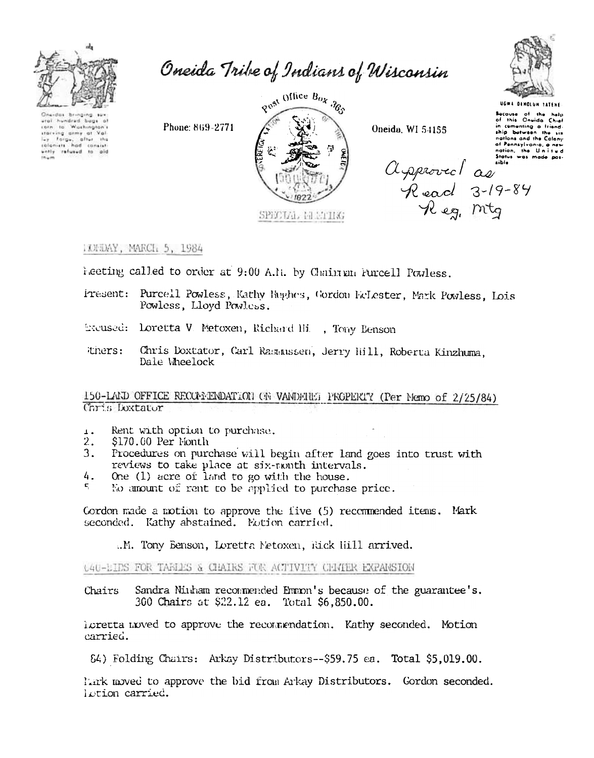

Oneida Tribe of Indians of Wisconsin

Oneider bring aral hundred bugi Washington I i orn  $10$ starting army at Val.<br>ILEY Forge, after the<br>coloniest had consist<br>ently refused to aid gost Office Box 365

Oneida, WI 54155



**UGWA DENOLUM TATENS** Because of the help<br>of this Oneida Chief in comenting a friend nations and the Calany af Pennsylvania, a nev nation, the United<br>Status was made pos-

Aspiored as

IXXXXY, MARCH 5, 1984

Phone: 869-2771

heeting called to order at 9:00 A.1. by Chain an Furcell Powless.

Present: Purcell Powless, Kathy Raghes, Gordon EcLester, Mark Powless, Lois Powless, Lloyd Powless.

SPECIAL REETIKG

Excused: Loretta V. Metoxen, Richard Hi., Tony Benson

Chris Doxtator, Carl Rasmussen, Jerry Hill, Roberta Kinzhuma. thers: Dale Wheelock

150-LAND OFFICE RECONNENDATION ON VANDERED PROPERTY (Per Nemo of 2/25/84) Chris Doxtator

- Rent with option to purchase.  $\perp$ .
- $2.$ \$170.00 Per Month
- $3.$ Procedures on purchase will begin after land goes into trust with reviews to take place at six-nonth intervals.
- 4. One (1) acre of land to go with the house.
- $\mathbf{r}$ No amount of rent to be applied to purchase price.

Cordon made a motion to approve the five (5) recommended items. Mark seconded. Kathy abstained. Notion carried.

..M. Tony Benson, Loretta Netoxen, Rick Hill arrived.

640-EIDS FOR TABLES & CHAIRS FOR ACTIVITY CHATER EXPANSION

Sandra Ninham recommended Emmon's because of the guarantee's. Chairs 300 Chairs at \$22.12 ea. Total \$6,850.00.

icretta moved to approve the recommendation. Kathy seconded. Motion carried.

84) Folding Chairs: Arkay Distributors--\$59.75 ea. Total \$5,019.00.

lark moved to approve the bid from Arkay Distributors. Gordon seconded. lotion carried.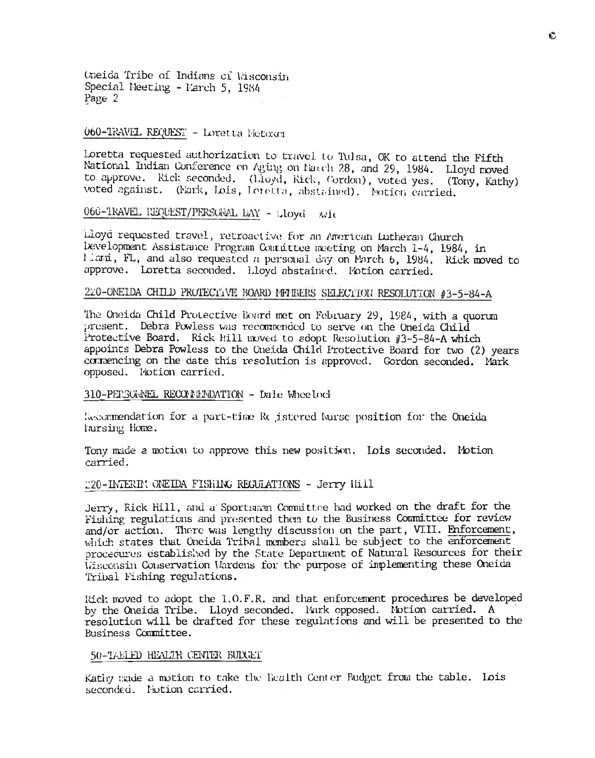Oneida Tribe of Indians of Misconsin Special Meeting - Parch 5, 1984 Page 2

# 060-TRAVEL REQUEST - Loretta Fetoxer

loretta requested authorization to travel to Tulsa, OK to attend the Fifth National Indian Conference on Aging on Natch 28, and 29, 1984. Lloyd moved to approve. Rick seconded. (Lloyd, Rick, Cordon), voted yes. (Tony, Kathy) voted against. (Nark, Lois, Loretta, abstained). Notion carried.

060-TRAVEL REQUEST/PERSONAL DAY + Lloyd wit

Lloyd requested travel, retroactive for an American Lutheran Church Development Assistance Program Connittee meeting on March 1-4, 1984, in liami, FL, and also requested a personal day on March 6, 1984. Rick moved to approve. Loretta seconded. Lloyd abstained. Motion carried.

# 220-ONEIDA CHILD PROTECTIVE BOARD MMMBERS SELECTION RESOLUTION #3-5-84-A

The Oneida Child Protective Board met on February 29, 1984, with a quorum present. Debra Powless was recommended to serve on the Oneida Child Protective Board. Rick Hill moved to adopt Resolution #3-5-84-A which appoints Debra Powless to the Cneida Child Protective Board for two (2) years commencing on the date this resolution is approved. Gordon seconded. Mark opposed. Motion carried.

#### 310-PERSCHNEL RECOMMENDATION - Dale Wheelock

Recommendation for a part-time Re istered kurse position for the Oneida farsing Home.

Tony made a motion to approve this new position. Lois seconded. Motion carried.

### 220-IMTERIM ONEIDA FISHING REGULATIONS - Jerry Hill

Jerry, Rick Hill, and a Sportsman Committee had worked on the draft for the Fishing regulations and presented then to the Business Committee for review and/or action. There was lengthy discussion on the part, VIII. Enforcement, which states that Oneida Tribal members shall be subject to the enforcement procedures established by the State Department of Natural Resources for their Wisconsin Conservation Wardens for the purpose of implementing these Oneida Tribal Fishing regulations.

Rick moved to adopt the I.O.F.R. and that enforcement procedures be developed by the Oneida Tribe. Lloyd seconded. Mark opposed. Motion carried. A resolution will be drafted for these regulations and will be presented to the Business Committee.

#### 50-TABLED HEALTH CENTER BUDGET

Kating mode a motion to take the Health Center Budget from the table. Lois seconded. Notion carried.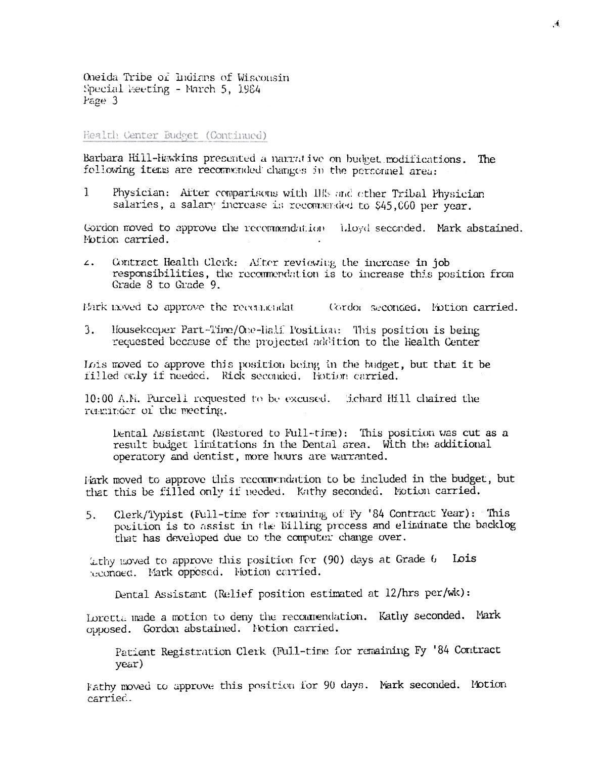Oneida Tribe of Indians of Wisconsin Special Meeting - March 5, 1984 Page 3

#### Health Center Budget (Continued)

Barbara Hill-Hawkins presented a narrative on budget modifications. The following items are recommended changes in the personnel area:

Physician: After comparisons with III's and other Tribal Physician  $\mathbf{1}$ salaries, a salary increase is reconnerded to \$45,000 per year.

Gordon moved to approve the recommendation illoyd seconded. Mark abstained. Motion carried.

Contract Health Clerk: After reviewing the increase in job  $\mathbf{z}$ . responsibilities, the recommendation is to increase this position from Grade 8 to Grade 9.

Mark moved to approve the recommendat (Cordon seconded, Notion carried,

 $3.$ Housekeeper Part-Time/One-Half Position: This position is being requested because of the projected addition to the Health Center

Lois moved to approve this position being in the budget, but that it be rilled only if needed. Rick seconded. Hotion carried.

10:00 A.N. Purcell requested to be excused. Echard Hill chaired the reachinger of the meeting.

lental Assistant (Restored to Full-time): This position was cut as a result budget limitations in the Dental area. With the additional operatory and dentist, more hours are warranted.

Fark moved to approve this recommendation to be included in the budget, but that this be filled only if needed. Kathy seconded. Notion carried.

Clerk/Typist (Full-time for remaining of Fy '84 Contract Year): This  $5.$ position is to assist in the Billing precess and eliminate the backlog that has developed due to the computer change over.

Lithy moved to approve this position for (90) days at Grade 6 Lois seconosc. Mark opposed. Notion carried.

Dental Assistant (Relief position estimated at 12/hrs per/wk):

Loretta made a motion to deny the recommendation. Kathy seconded. Mark opposed. Gordon abstained. Notion carried.

Patient Registration Clerk (Full-time for remaining Fy '84 Contract year)

Fathy moved to approve this position for 90 days. Mark seconded. Motion carried.